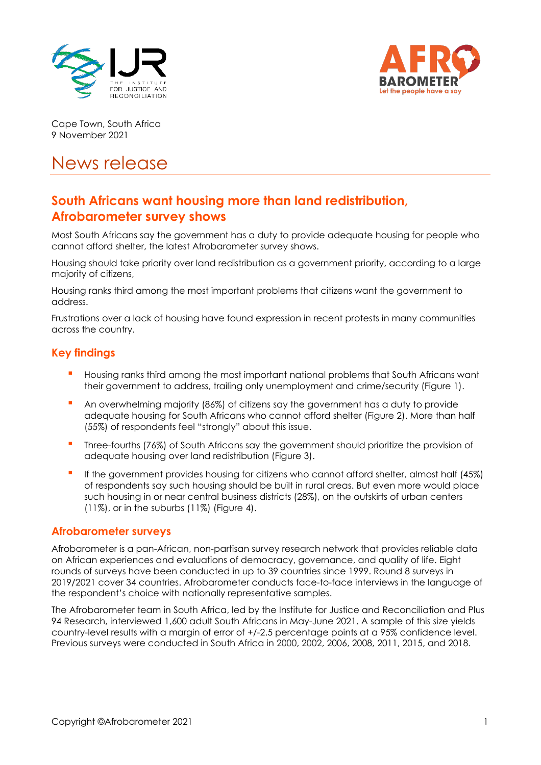



Cape Town, South Africa 9 November 2021

# News release

# **South Africans want housing more than land redistribution, Afrobarometer survey shows**

Most South Africans say the government has a duty to provide adequate housing for people who cannot afford shelter, the latest Afrobarometer survey shows.

Housing should take priority over land redistribution as a government priority, according to a large majority of citizens,

Housing ranks third among the most important problems that citizens want the government to address.

Frustrations over a lack of housing have found expression in recent protests in many communities across the country.

## **Key findings**

- Housing ranks third among the most important national problems that South Africans want their government to address, trailing only unemployment and crime/security (Figure 1).
- An overwhelming majority (86%) of citizens say the government has a duty to provide adequate housing for South Africans who cannot afford shelter (Figure 2). More than half (55%) of respondents feel "strongly" about this issue.
- Three-fourths (76%) of South Africans say the government should prioritize the provision of adequate housing over land redistribution (Figure 3).
- **•** If the government provides housing for citizens who cannot afford shelter, almost half (45%) of respondents say such housing should be built in rural areas. But even more would place such housing in or near central business districts (28%), on the outskirts of urban centers (11%), or in the suburbs (11%) (Figure 4).

#### **Afrobarometer surveys**

Afrobarometer is a pan-African, non-partisan survey research network that provides reliable data on African experiences and evaluations of democracy, governance, and quality of life. Eight rounds of surveys have been conducted in up to 39 countries since 1999. Round 8 surveys in 2019/2021 cover 34 countries. Afrobarometer conducts face-to-face interviews in the language of the respondent's choice with nationally representative samples.

The Afrobarometer team in South Africa, led by the Institute for Justice and Reconciliation and Plus 94 Research, interviewed 1,600 adult South Africans in May-June 2021. A sample of this size yields country-level results with a margin of error of +/-2.5 percentage points at a 95% confidence level. Previous surveys were conducted in South Africa in 2000, 2002, 2006, 2008, 2011, 2015, and 2018.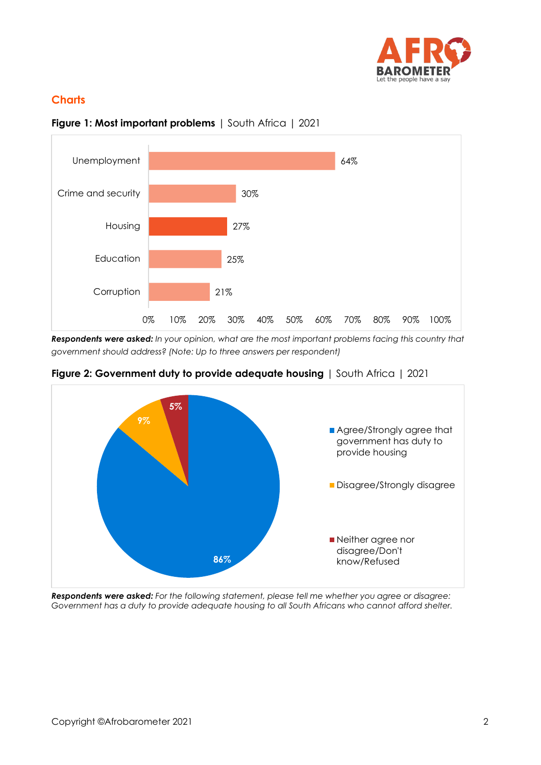

# **Charts**



**Figure 1: Most important problems** | South Africa | 2021

*Respondents were asked: In your opinion, what are the most important problems facing this country that government should address? (Note: Up to three answers per respondent)*



#### **Figure 2: Government duty to provide adequate housing** | South Africa | 2021

*Respondents were asked: For the following statement, please tell me whether you agree or disagree: Government has a duty to provide adequate housing to all South Africans who cannot afford shelter.*